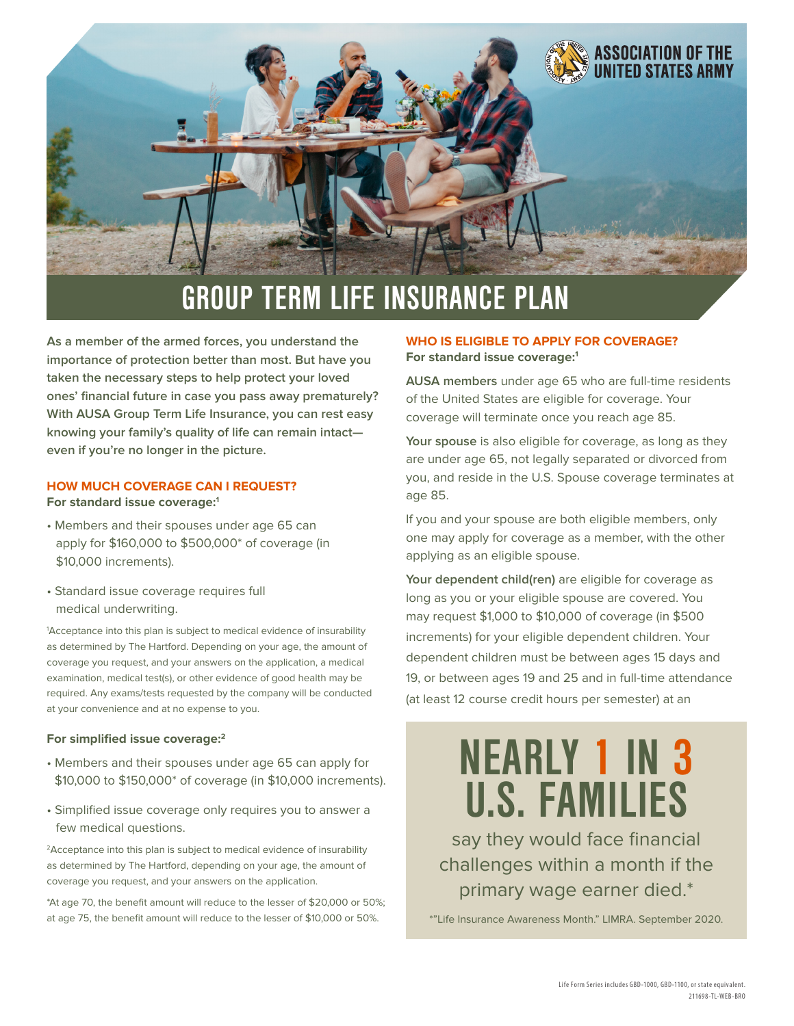

**As a member of the armed forces, you understand the importance of protection better than most. But have you taken the necessary steps to help protect your loved ones' financial future in case you pass away prematurely? With AUSA Group Term Life Insurance, you can rest easy knowing your family's quality of life can remain intact even if you're no longer in the picture.**

#### **HOW MUCH COVERAGE CAN I REQUEST? For standard issue coverage:1**

- Members and their spouses under age 65 can apply for \$160,000 to \$500,000\* of coverage (in \$10,000 increments).
- Standard issue coverage requires full medical underwriting.

1 Acceptance into this plan is subject to medical evidence of insurability as determined by The Hartford. Depending on your age, the amount of coverage you request, and your answers on the application, a medical examination, medical test(s), or other evidence of good health may be required. Any exams/tests requested by the company will be conducted at your convenience and at no expense to you.

#### **For simplified issue coverage:2**

- Members and their spouses under age 65 can apply for \$10,000 to \$150,000\* of coverage (in \$10,000 increments).
- Simplified issue coverage only requires you to answer a few medical questions.

2Acceptance into this plan is subject to medical evidence of insurability as determined by The Hartford, depending on your age, the amount of coverage you request, and your answers on the application.

\*At age 70, the benefit amount will reduce to the lesser of \$20,000 or 50%; at age 75, the benefit amount will reduce to the lesser of \$10,000 or 50%.

# **WHO IS ELIGIBLE TO APPLY FOR COVERAGE? For standard issue coverage:1**

**AUSA members** under age 65 who are full-time residents of the United States are eligible for coverage. Your coverage will terminate once you reach age 85.

**Your spouse** is also eligible for coverage, as long as they are under age 65, not legally separated or divorced from you, and reside in the U.S. Spouse coverage terminates at age 85.

If you and your spouse are both eligible members, only one may apply for coverage as a member, with the other applying as an eligible spouse.

**Your dependent child(ren)** are eligible for coverage as long as you or your eligible spouse are covered. You may request \$1,000 to \$10,000 of coverage (in \$500 increments) for your eligible dependent children. Your dependent children must be between ages 15 days and 19, or between ages 19 and 25 and in full-time attendance (at least 12 course credit hours per semester) at an

# **NEARLY 1 IN 3 U.S. FAMILIES**

say they would face financial challenges within a month if the primary wage earner died.\*

\*"Life Insurance Awareness Month." LIMRA. September 2020.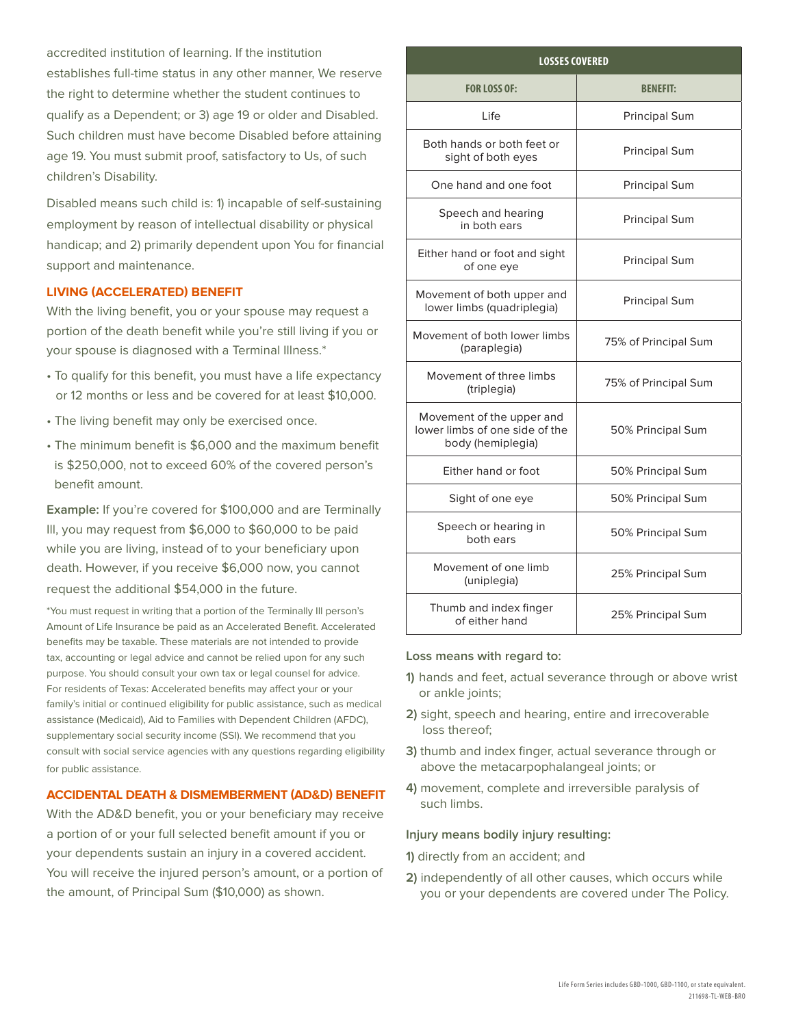accredited institution of learning. If the institution establishes full-time status in any other manner, We reserve the right to determine whether the student continues to qualify as a Dependent; or 3) age 19 or older and Disabled. Such children must have become Disabled before attaining age 19. You must submit proof, satisfactory to Us, of such children's Disability.

Disabled means such child is: 1) incapable of self-sustaining employment by reason of intellectual disability or physical handicap; and 2) primarily dependent upon You for financial support and maintenance.

# **LIVING (ACCELERATED) BENEFIT**

With the living benefit, you or your spouse may request a portion of the death benefit while you're still living if you or your spouse is diagnosed with a Terminal Illness.\*

- To qualify for this benefit, you must have a life expectancy or 12 months or less and be covered for at least \$10,000.
- The living benefit may only be exercised once.
- The minimum benefit is \$6,000 and the maximum benefit is \$250,000, not to exceed 60% of the covered person's benefit amount.

**Example:** If you're covered for \$100,000 and are Terminally Ill, you may request from \$6,000 to \$60,000 to be paid while you are living, instead of to your beneficiary upon death. However, if you receive \$6,000 now, you cannot request the additional \$54,000 in the future.

\*You must request in writing that a portion of the Terminally Ill person's Amount of Life Insurance be paid as an Accelerated Benefit. Accelerated benefits may be taxable. These materials are not intended to provide tax, accounting or legal advice and cannot be relied upon for any such purpose. You should consult your own tax or legal counsel for advice. For residents of Texas: Accelerated benefits may affect your or your family's initial or continued eligibility for public assistance, such as medical assistance (Medicaid), Aid to Families with Dependent Children (AFDC), supplementary social security income (SSI). We recommend that you consult with social service agencies with any questions regarding eligibility for public assistance.

# **ACCIDENTAL DEATH & DISMEMBERMENT (AD&D) BENEFIT**

With the AD&D benefit, you or your beneficiary may receive a portion of or your full selected benefit amount if you or your dependents sustain an injury in a covered accident. You will receive the injured person's amount, or a portion of the amount, of Principal Sum (\$10,000) as shown.

| <b>LOSSES COVERED</b>                                                            |                      |
|----------------------------------------------------------------------------------|----------------------|
| <b>FOR LOSS OF:</b>                                                              | <b>BENEFIT:</b>      |
| Life                                                                             | <b>Principal Sum</b> |
| Both hands or both feet or<br>sight of both eyes                                 | <b>Principal Sum</b> |
| One hand and one foot                                                            | <b>Principal Sum</b> |
| Speech and hearing<br>in both ears                                               | <b>Principal Sum</b> |
| Either hand or foot and sight<br>of one eye                                      | <b>Principal Sum</b> |
| Movement of both upper and<br>lower limbs (quadriplegia)                         | <b>Principal Sum</b> |
| Movement of both lower limbs<br>(paraplegia)                                     | 75% of Principal Sum |
| Movement of three limbs<br>(triplegia)                                           | 75% of Principal Sum |
| Movement of the upper and<br>lower limbs of one side of the<br>body (hemiplegia) | 50% Principal Sum    |
| Either hand or foot                                                              | 50% Principal Sum    |
| Sight of one eye                                                                 | 50% Principal Sum    |
| Speech or hearing in<br>both ears                                                | 50% Principal Sum    |
| Movement of one limb<br>(uniplegia)                                              | 25% Principal Sum    |
| Thumb and index finger<br>of either hand                                         | 25% Principal Sum    |

#### **Loss means with regard to:**

- **1)** hands and feet, actual severance through or above wrist or ankle joints:
- **2)** sight, speech and hearing, entire and irrecoverable loss thereof;
- **3)** thumb and index finger, actual severance through or above the metacarpophalangeal joints; or
- **4)** movement, complete and irreversible paralysis of such limbs.

#### **Injury means bodily injury resulting:**

- **1)** directly from an accident; and
- **2)** independently of all other causes, which occurs while you or your dependents are covered under The Policy.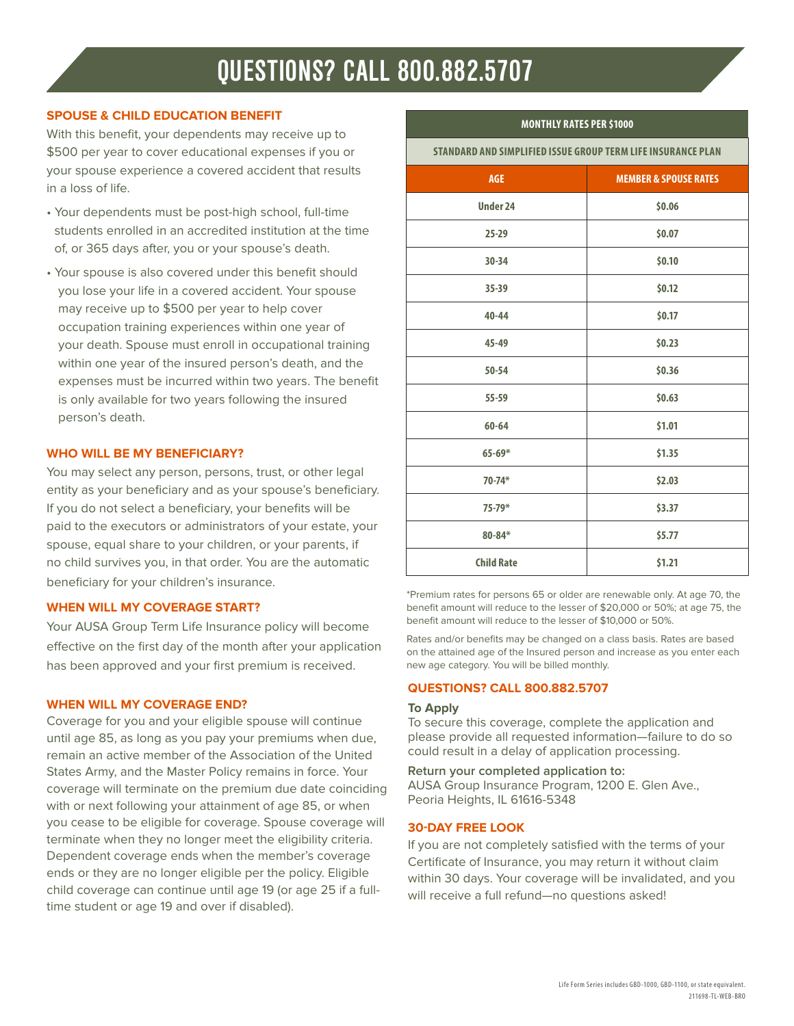# **QUESTIONS? CALL 800.882.5707**

# **SPOUSE & CHILD EDUCATION BENEFIT**

With this benefit, your dependents may receive up to \$500 per year to cover educational expenses if you or your spouse experience a covered accident that results in a loss of life.

- Your dependents must be post-high school, full-time students enrolled in an accredited institution at the time of, or 365 days after, you or your spouse's death.
- Your spouse is also covered under this benefit should you lose your life in a covered accident. Your spouse may receive up to \$500 per year to help cover occupation training experiences within one year of your death. Spouse must enroll in occupational training within one year of the insured person's death, and the expenses must be incurred within two years. The benefit is only available for two years following the insured person's death.

# **WHO WILL BE MY BENEFICIARY?**

You may select any person, persons, trust, or other legal entity as your beneficiary and as your spouse's beneficiary. If you do not select a beneficiary, your benefits will be paid to the executors or administrators of your estate, your spouse, equal share to your children, or your parents, if no child survives you, in that order. You are the automatic beneficiary for your children's insurance.

### **WHEN WILL MY COVERAGE START?**

Your AUSA Group Term Life Insurance policy will become effective on the first day of the month after your application has been approved and your first premium is received.

### **WHEN WILL MY COVERAGE END?**

Coverage for you and your eligible spouse will continue until age 85, as long as you pay your premiums when due, remain an active member of the Association of the United States Army, and the Master Policy remains in force. Your coverage will terminate on the premium due date coinciding with or next following your attainment of age 85, or when you cease to be eligible for coverage. Spouse coverage will terminate when they no longer meet the eligibility criteria. Dependent coverage ends when the member's coverage ends or they are no longer eligible per the policy. Eligible child coverage can continue until age 19 (or age 25 if a fulltime student or age 19 and over if disabled).

# **MONTHLY RATES PER \$1000**

**STANDARD AND SIMPLIFIED ISSUE GROUP TERM LIFE INSURANCE PLAN**

| <b>AGE</b>        | <b>MEMBER &amp; SPOUSE RATES</b> |
|-------------------|----------------------------------|
| <b>Under 24</b>   | \$0.06                           |
| $25 - 29$         | \$0.07                           |
| $30 - 34$         | \$0.10                           |
| $35 - 39$         | \$0.12                           |
| $40 - 44$         | \$0.17                           |
| 45-49             | \$0.23                           |
| $50 - 54$         | \$0.36                           |
| $55 - 59$         | \$0.63                           |
| $60 - 64$         | \$1.01                           |
| $65 - 69*$        | \$1.35                           |
| $70 - 74*$        | \$2.03                           |
| $75 - 79*$        | \$3.37                           |
| $80 - 84*$        | \$5.77                           |
| <b>Child Rate</b> | \$1.21                           |

\*Premium rates for persons 65 or older are renewable only. At age 70, the benefit amount will reduce to the lesser of \$20,000 or 50%; at age 75, the benefit amount will reduce to the lesser of \$10,000 or 50%.

Rates and/or benefits may be changed on a class basis. Rates are based on the attained age of the Insured person and increase as you enter each new age category. You will be billed monthly.

### **QUESTIONS? CALL 800.882.5707**

### **To Apply**

To secure this coverage, complete the application and please provide all requested information—failure to do so could result in a delay of application processing.

#### **Return your completed application to:**

AUSA Group Insurance Program, 1200 E. Glen Ave., Peoria Heights, IL 61616-5348

### **30-DAY FREE LOOK**

If you are not completely satisfied with the terms of your Certificate of Insurance, you may return it without claim within 30 days. Your coverage will be invalidated, and you will receive a full refund—no questions asked!